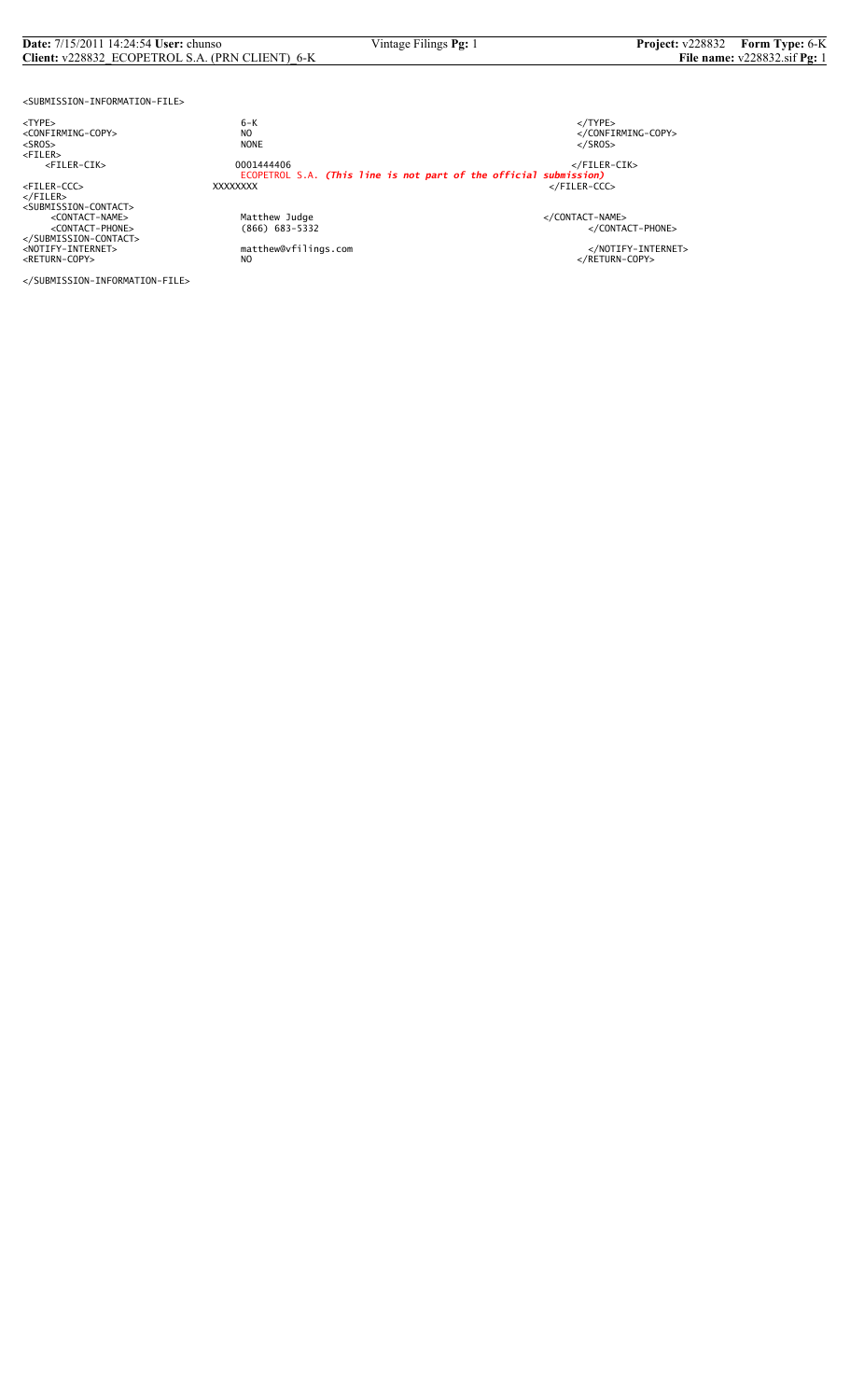#### **Date:** 7/15/2011 14:24:54 **User:** chunso Vintage Filings **Pg:** 1 **Project:** v228832 **Form Type:** 6-K **Client:** v228832\_ECOPETROL S.A. (PRN CLIENT)\_6-K **File name:** v228832.sif **Pg:** 1

<SUBMISSION-INFORMATION-FILE>

<TYPE> 6-K </TYPE>

</FILER><br><SUBMISSION-CONTACT><br><CONTACT-NAME> </CONTACT-NAME></CONTACT-NAME> </SUBMISSION-CONTACT>

<CONFIRMING-COPY> NO </CONFIRMING-COPY> <SROS> NONE </SROS> <FILER> <FILER-CIK> 0001444406 </FILER-CIK> ECOPETROL S.A. *(This line is not part of the official submission)* <FILER-CCC> XXXXXXXX </FILER-CCC>

%Matthew Judge<br>
(866) 683-5332 </CONTACT-PHONE><br>
</CONTACT-PHONE>

<NOTIFY-INTERNET> matthew@vfilings.com </NOTIFY-INTERNET><br><RETURN-COPY> NO

</SUBMISSION-INFORMATION-FILE>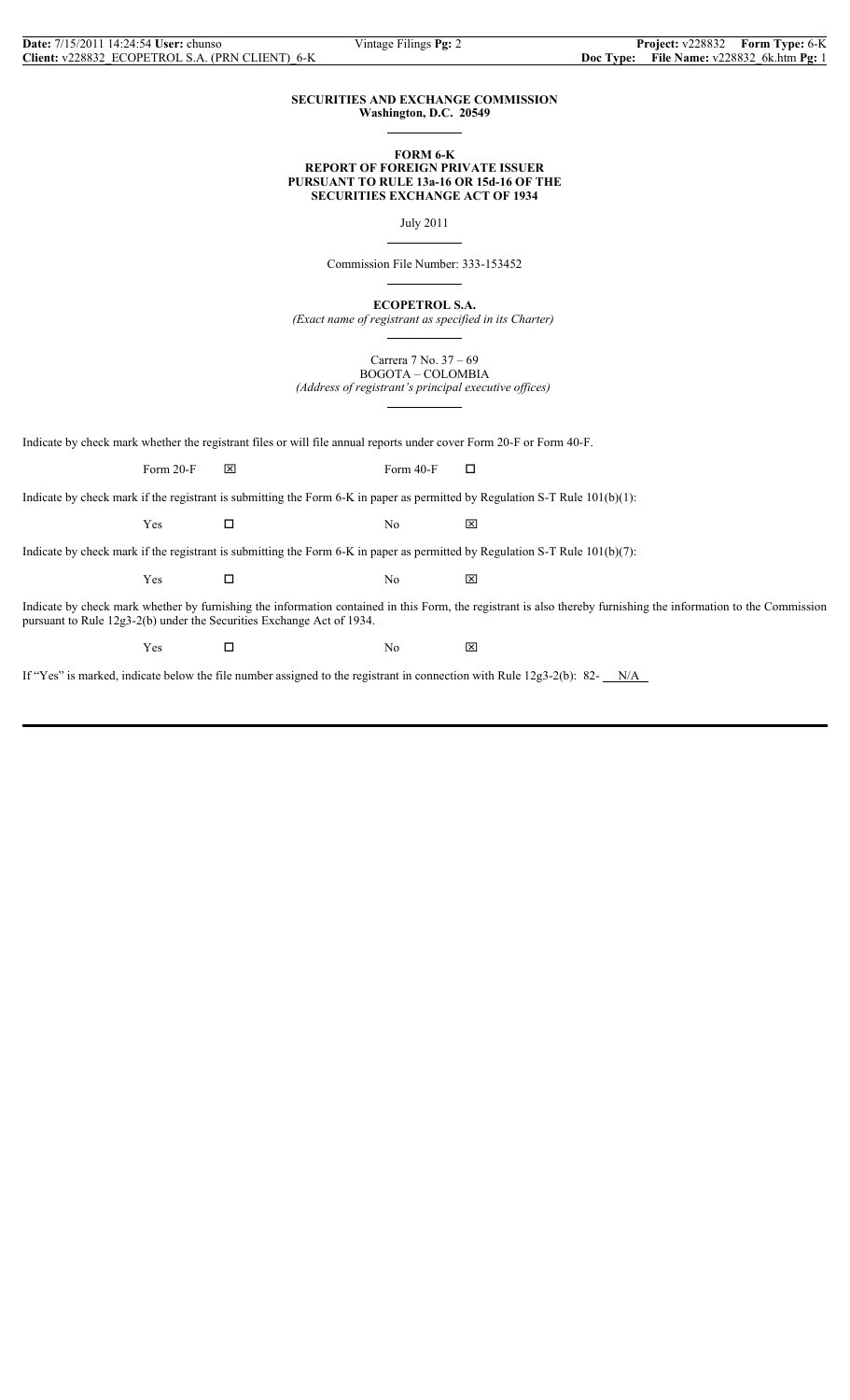### **SECURITIES AND EXCHANGE COMMISSION Washington, D.C. 20549**

 $\overline{a}$ 

 $\overline{a}$ 

 $\overline{a}$ 

## **FORM 6-K REPORT OF FOREIGN PRIVATE ISSUER PURSUANT TO RULE 13a-16 OR 15d-16 OF THE SECURITIES EXCHANGE ACT OF 1934**

July 2011

Commission File Number: 333-153452

**ECOPETROL S.A.**

*(Exact name of registrant as specified in its Charter)*  $\overline{a}$ 

Carrera 7 No. 37 – 69 BOGOTA – COLOMBIA *(Address of registrant's principal executive offices)*

 $\overline{a}$ 

Indicate by check mark whether the registrant files or will file annual reports under cover Form 20-F or Form 40-F.

Form 20-F  $\boxtimes$  Form 40-F  $\Box$ 

Indicate by check mark if the registrant is submitting the Form 6-K in paper as permitted by Regulation S-T Rule 101(b)(1):

 $Yes$   $\Box$  No  $\boxtimes$ 

Indicate by check mark if the registrant is submitting the Form 6-K in paper as permitted by Regulation S-T Rule 101(b)(7):

 $Yes$   $\Box$  No  $\boxtimes$ 

Indicate by check mark whether by furnishing the information contained in this Form, the registrant is also thereby furnishing the information to the Commission pursuant to Rule 12g3-2(b) under the Securities Exchange Act of 1934.

 $Yes$   $\square$  No  $\boxtimes$ 

If "Yes" is marked, indicate below the file number assigned to the registrant in connection with Rule  $12g3-2(b)$ : 82- $N/A$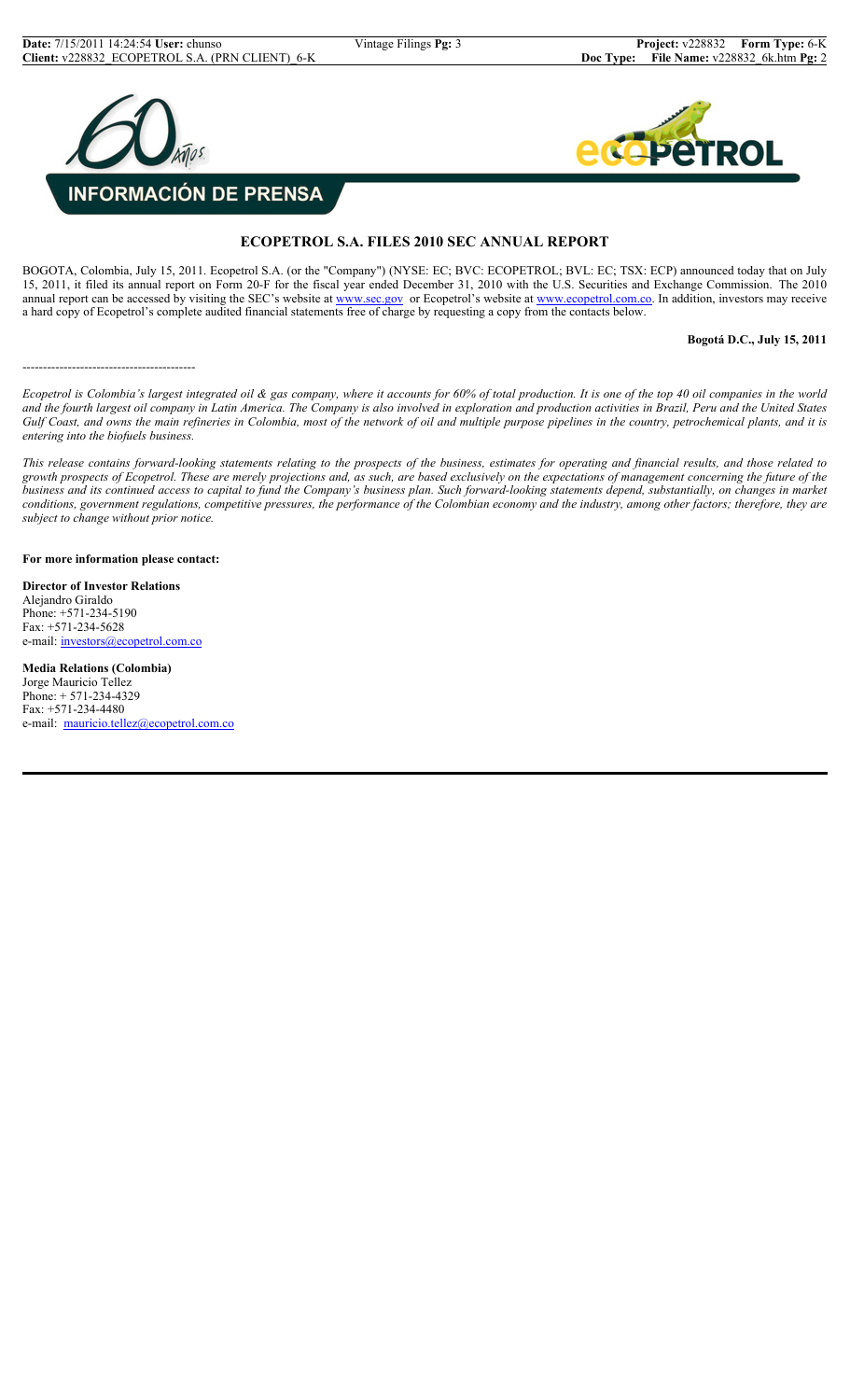



## **ECOPETROL S.A. FILES 2010 SEC ANNUAL REPORT**

BOGOTA, Colombia, July 15, 2011. Ecopetrol S.A. (or the "Company") (NYSE: EC; BVC: ECOPETROL; BVL: EC; TSX: ECP) announced today that on July 15, 2011, it filed its annual report on Form 20-F for the fiscal year ended December 31, 2010 with the U.S. Securities and Exchange Commission. The 2010 annual report can be accessed by visiting the SEC's website at www.sec.gov or Ecopetrol's website at www.ecopetrol.com.co. In addition, investors may receive a hard copy of Ecopetrol's complete audited financial statements free of charge by requesting a copy from the contacts below.

**Bogotá D.C., July 15, 2011**

------------------------------------------

*Ecopetrol is Colombia's largest integrated oil & gas company, where it accounts for 60% of total production. It is one of the top 40 oil companies in the world and the fourth largest oil company in Latin America. The Company is also involved in exploration and production activities in Brazil, Peru and the United States Gulf Coast, and owns the main refineries in Colombia, most of the network of oil and multiple purpose pipelines in the country, petrochemical plants, and it is entering into the biofuels business.*

*This release contains forward-looking statements relating to the prospects of the business, estimates for operating and financial results, and those related to growth prospects of Ecopetrol. These are merely projections and, as such, are based exclusively on the expectations of management concerning the future of the business and its continued access to capital to fund the Company's business plan. Such forward-looking statements depend, substantially, on changes in market conditions, government regulations, competitive pressures, the performance of the Colombian economy and the industry, among other factors; therefore, they are subject to change without prior notice.*

**For more information please contact:**

**Director of Investor Relations** Alejandro Giraldo Phone: +571-234-5190  $Fax: +571-234-5628$ e-mail: investors@ecopetrol.com.co

**Media Relations (Colombia)** Jorge Mauricio Tellez Phone: + 571-234-4329 Fax: +571-234-4480 e-mail: mauricio.tellez@ecopetrol.com.co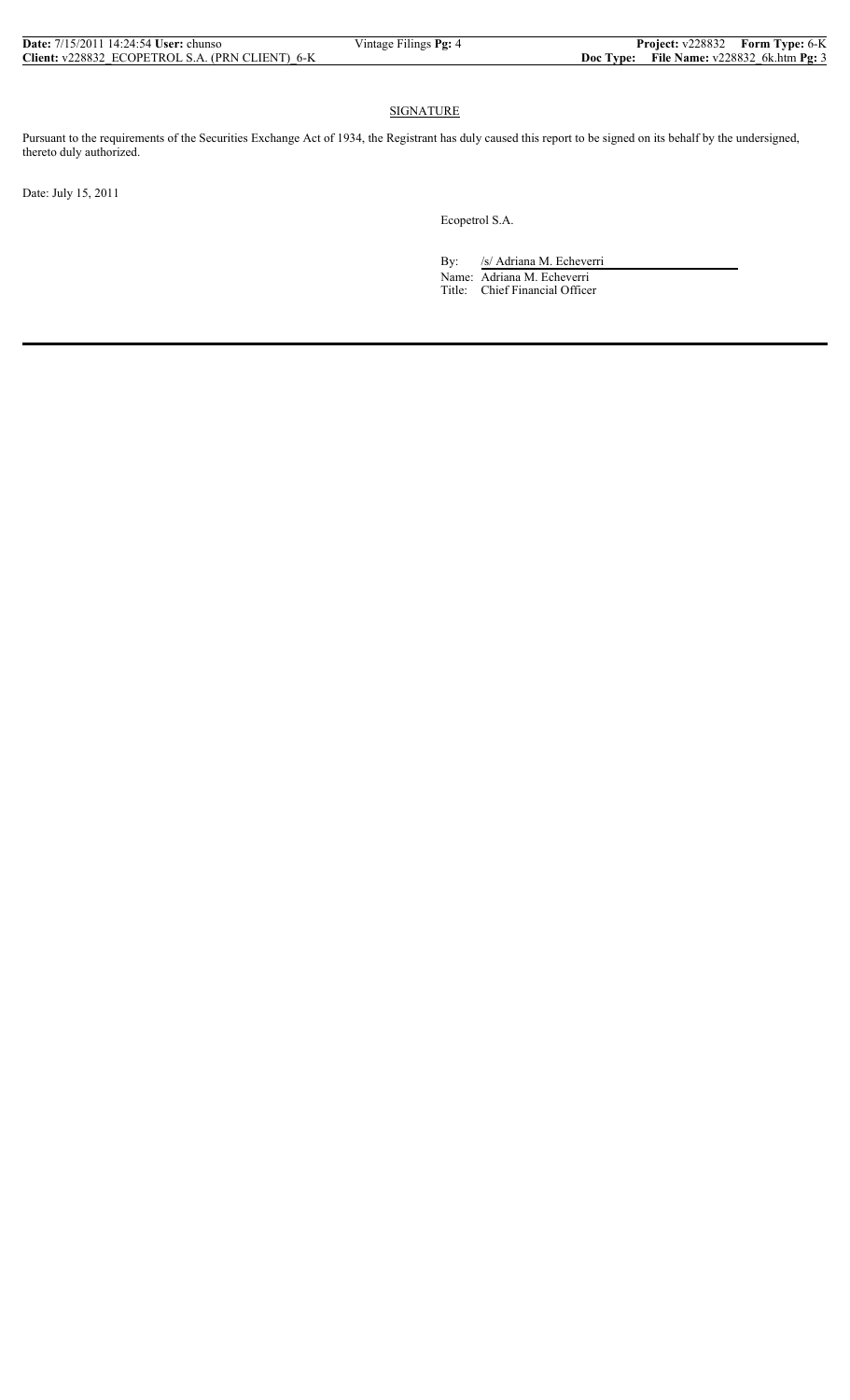## SIGNATURE

Pursuant to the requirements of the Securities Exchange Act of 1934, the Registrant has duly caused this report to be signed on its behalf by the undersigned, thereto duly authorized.

Date: July 15, 2011

Ecopetrol S.A.

By: /s/ Adriana M. Echeverri Name: Adriana M. Echeverri Title: Chief Financial Officer